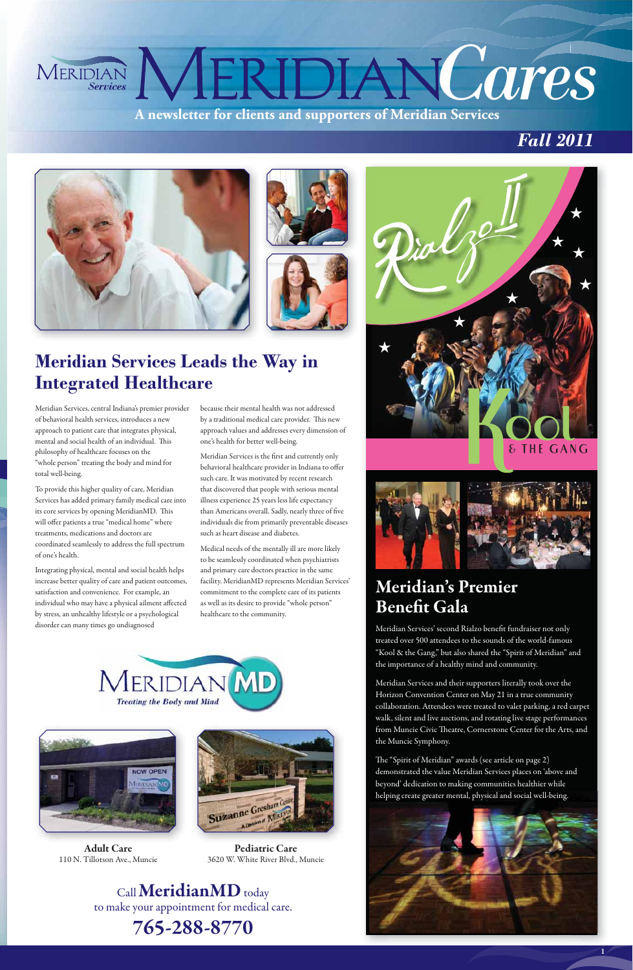**A newsletter for clients and supporters of Meridian Services MERIDIAN COTPS** 









## **Meridian Services Leads the Wav in Integrated Healthcare**

**1**

Call**MeridianMD** today to make your appointment for medical care. **765-288-8770**

because their mental health was not addressed by a traditional medical care provider. This new approach values and addresses every dimension of one's health for better well-being.

Meridian Services is the first and currently only behavioral healthcare provider in Indiana to offer such care. It was motivated by recent research that discovered that people with serious mental illness experience 25 years less life expectancy than Americans overall. Sadly, nearly three of five individuals die from primarily preventable diseases such as heart disease and diabetes.

Medical needs of the mentally ill are more likely to be seamlessly coordinated when psychiatrists and primary care doctors practice in the same facility. MeridianMD represents Meridian Services' commitment to the complete care of its patients as well as its desire to provide "whole person" healthcare to the community.





**Adult Care** 110 N. Tillotson Ave., Muncie

**Pediatric Care** 3620 W. White River Blvd., Muncie

### **Meridian's Premier Benefit Gala**

Meridian Services' second Rialzo benefit fundraiser not only treated over 500 attendees to the sounds of the world-famous "Kool & the Gang," but also shared the "Spirit of Meridian" and the importance of a healthy mind and community.

Meridian Services and their supporters literally took over the Horizon Convention Center on May 21 in a true community collaboration. Attendees were treated to valet parking, a red carpet walk, silent and live auctions, and rotating live stage performances from Muncie Civic Theatre, Cornerstone Center for the Arts, and the Muncie Symphony.





The "Spirit of Meridian" awards (see article on page 2) demonstrated the value Meridian Services places on 'above and beyond' dedication to making communities healthier while helping create greater mental, physical and social well-being.



Meridian Services, central Indiana's premier provider of behavioral health services, introduces a new approach to patient care that integrates physical, mental and social health of an individual. This philosophy of healthcare focuses on the "whole person" treating the body and mind for total well-being.

To provide this higher quality of care, Meridian Services has added primary family medical care into its core services by opening MeridianMD. This will offer patients a true "medical home" where treatments, medications and doctors are coordinated seamlessly to address the full spectrum of one's health.

Integrating physical, mental and social health helps increase better quality of care and patient outcomes, satisfaction and convenience. For example, an individual who may have a physical ailment affected by stress, an unhealthy lifestyle or a psychological disorder can many times go undiagnosed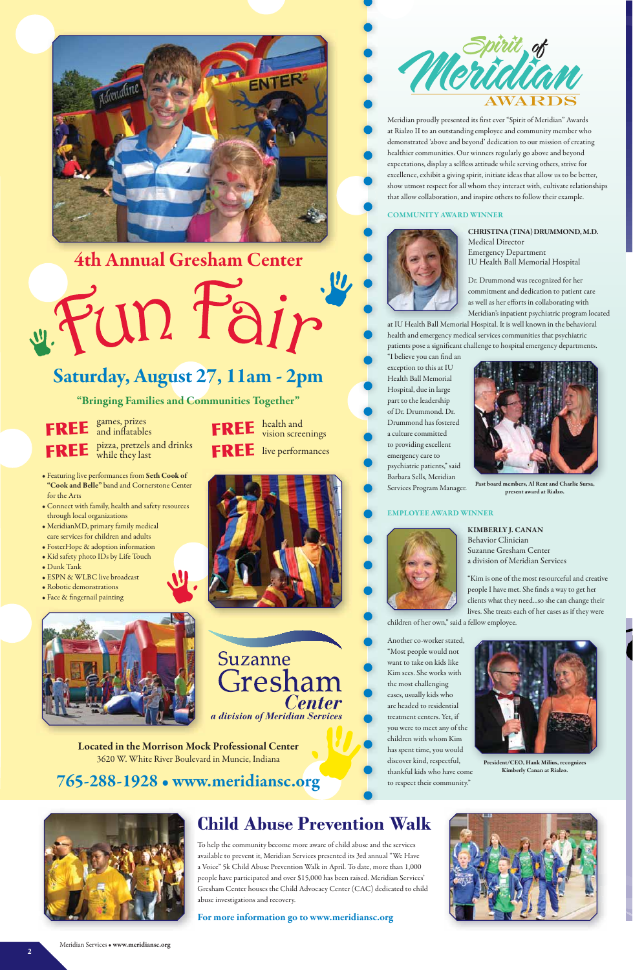To help the community become more aware of child abuse and the services available to prevent it, Meridian Services presented its 3rd annual "We Have a Voice" 5k Child Abuse Prevention Walk in April. To date, more than 1,000 people have participated and over \$15,000 has been raised. Meridian Services' Gresham Center houses the Child Advocacy Center (CAC) dedicated to child abuse investigations and recovery.



# **4th Annual Gresham Center**

**765-288-1928 • www.meridiansc.org**

**For more information go to www.meridiansc.org**



at IU Health Ball Memorial Hospital. It is well known in the behavioral health and emergency medical services communities that psychiatric patients pose a significant challenge to hospital emergency departments.

Meridian proudly presented its first ever "Spirit of Meridian" Awards at Rialzo II to an outstanding employee and community member who demonstrated 'above and beyond' dedication to our mission of creating healthier communities. Our winners regularly go above and beyond expectations, display a selfless attitude while serving others, strive for excellence, exhibit a giving spirit, initiate ideas that allow us to be better, show utmost respect for all whom they interact with, cultivate relationships that allow collaboration, and inspire others to follow their example.

#### **COMMUNITY AWARD WINNER**



**CHRISTINA (TINA) DRUMMOND, M.D.** Medical Director Emergency Department IU Health Ball Memorial Hospital

Dr. Drummond was recognized for her commitment and dedication to patient care as well as her efforts in collaborating with Meridian's inpatient psychiatric program located

health and FREE health and vision screenings FREE live performances







"I believe you can find an exception to this at IU Health Ball Memorial Hospital, due in large part to the leadership of Dr. Drummond. Dr. Drummond has fostered a culture committed to providing excellent emergency care to psychiatric patients," said Barbara Sells, Meridian Services Program Manager.

#### **EMPLOYEE AWARD WINNER**



**KIMBERLY J. CANAN** Behavior Clinician Suzanne Gresham Center a division of Meridian Services

"Kim is one of the most resourceful and creative people I have met. She finds a way to get her clients what they need...so she can change their lives. She treats each of her cases as if they were

children of her own," said a fellow employee.

Another co-worker stated, "Most people would not want to take on kids like Kim sees. She works with the most challenging cases, usually kids who



a division of Meridian Services

are headed to residential treatment centers. Yet, if you were to meet any of the children with whom Kim has spent time, you would discover kind, respectful, thankful kids who have come to respect their community."

- Featuring live performances from **Seth Cook of "Cook and Belle"** band and Cornerstone Center for the Arts
- Connect with family, health and safety resources through local organizations
- MeridianMD, primary family medical care services for children and adults
- FosterHope & adoption information
- Kid safety photo IDs by Life Touch
- Dunk Tank
- ESPN & WLBC live broadcast
- Robotic demonstrations
- Face & fingernail painting



**Located in the Morrison Mock Professional Center** 3620 W. White River Boulevard in Muncie, Indiana

# **Saturday, August 27, 11am - 2pm**

Fun Fair

games, prizes and inflatables pizza, pretzels and drinks **FREE** *PIZZA, Pretzels*<br>while they last **FREE**

**"Bringing Families and Communities Together"**

Meridian Services • **www.meridiansc.org**



**Past board members, Al Rent and Charlie Sursa, present award at Rialzo.**

**President/CEO, Hank Milius, recognizes Kimberly Canan at Rialzo.**



### **Child Abuse Prevention Walk**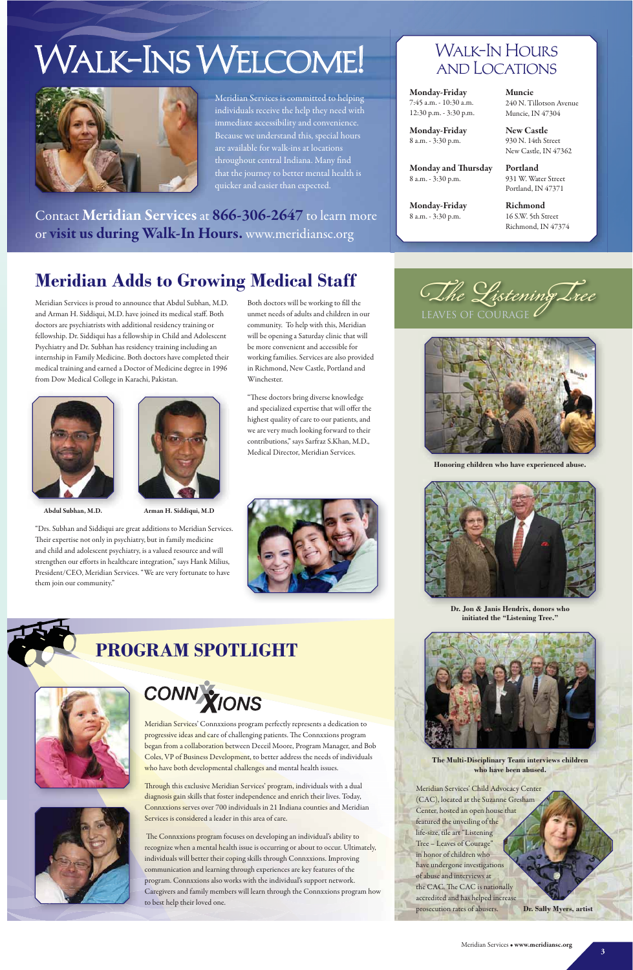Meridian Services is proud to announce that Abdul Subhan, M.D. and Arman H. Siddiqui, M.D. have joined its medical staff. Both doctors are psychiatrists with additional residency training or fellowship. Dr. Siddiqui has a fellowship in Child and Adolescent Psychiatry and Dr. Subhan has residency training including an internship in Family Medicine. Both doctors have completed their medical training and earned a Doctor of Medicine degree in 1996 from Dow Medical College in Karachi, Pakistan.

"Drs. Subhan and Siddiqui are great additions to Meridian Services. Their expertise not only in psychiatry, but in family medicine and child and adolescent psychiatry, is a valued resource and will strengthen our efforts in healthcare integration," says Hank Milius, President/CEO, Meridian Services. "We are very fortunate to have them join our community."

> Meridian Services' Connxxions program perfectly represents a dedication to progressive ideas and care of challenging patients. The Connxxions program began from a collaboration between Deceil Moore, Program Manager, and Bob Coles, VP of Business Development, to better address the needs of individuals who have both developmental challenges and mental health issues.

# Walk-Ins Welcome!



Contact **Meridian Services** at **866-306-2647** to learn more or **visit us during Walk-In Hours.** www.meridiansc.org

Meridian Services is committed to helping individuals receive the help they need with immediate accessibility and convenience. Because we understand this, special hours are available for walk-ins at locations throughout central Indiana. Many find that the journey to better mental health is quicker and easier than expected.

**Monday-Friday** 7:45 a.m. - 10:30 a.m. 12:30 p.m. - 3:30 p.m. **Muncie** 240 N. Tillotson Avenue Muncie, IN 47304

**Monday-Friday** 8 a.m. - 3:30 p.m.

**New Castle** 930 N. 14th Street New Castle, IN 47362

**Monday and Thursday** 8 a.m. - 3:30 p.m.

**Portland** 931 W. Water Street Portland, IN 47371

### Walk-In Hours and Locations

**Monday-Friday** 8 a.m. - 3:30 p.m.

**Richmond** 16 S.W. 5th Street Richmond, IN 47374

# **Meridian Adds to Growing Medical Staf**

Through this exclusive Meridian Services' program, individuals with a dual diagnosis gain skills that foster independence and enrich their lives. Today, Connxxions serves over 700 individuals in 21 Indiana counties and Meridian Services is considered a leader in this area of care.

 The Connxxions program focuses on developing an individual's ability to recognize when a mental health issue is occurring or about to occur. Ultimately, individuals will better their coping skills through Connxxions. Improving communication and learning through experiences are key features of the program. Connxxions also works with the individual's support network. Caregivers and family members will learn through the Connxxions program how to best help their loved one.



**The Multi-Disciplinary Team interviews children** who have been abused.

Meridian Services' Child Advocacy Center (CAC), located at the Suzanne Gresham Center, hosted an open house that featured the unveiling of the life-size, tile art "Listening Tree – Leaves of Courage" in honor of children who have undergone investigations of abuse and interviews at the CAC. The CAC is nationally accredited and has helped increase prosecution rates of abusers.

**Dr. Sally Myers, artist** 



**Abdul Subhan, M.D.**



Both doctors will be working to fill the unmet needs of adults and children in our community. To help with this, Meridian will be opening a Saturday clinic that will be more convenient and accessible for working families. Services are also provided





Medical Director, Meridian Services.





Honoring children who have experienced abuse.



Dr. Jon & Janis Hendrix, donors who initiated the "Listening Tree."



# **PROGRAM SPOTLIGHT**



# CONN YIONS

**Arman H. Siddiqui, M.D**